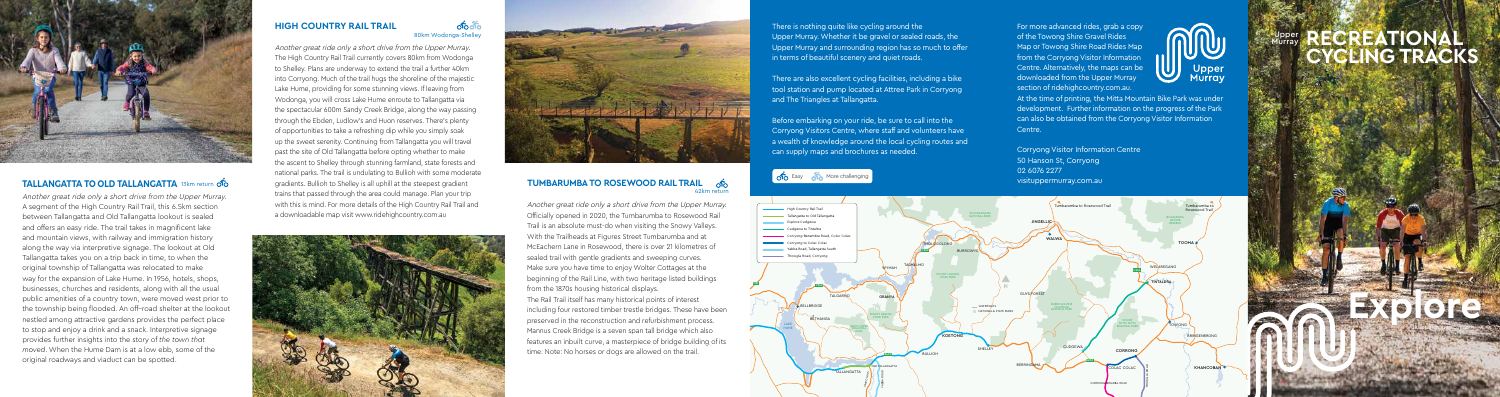**Explore**

#### **RECREATIONAL CYCLING TRACKS** Upper **Murray**

visituppermurray.com.au



## **TALLANGATTA TO OLD TALLANGATTA** 13km return

Another great ride only a short drive from the Upper Murray. A segment of the High Country Rail Trail, this 6.5km section between Tallangatta and Old Tallangatta lookout is sealed and offers an easy ride. The trail takes in magnificent lake and mountain views, with railway and immigration history along the way via interpretive signage. The lookout at Old Tallangatta takes you on a trip back in time, to when the original township of Tallangatta was relocated to make way for the expansion of Lake Hume. In 1956, hotels, shops, businesses, churches and residents, along with all the usual public amenities of a country town, were moved west prior to the township being flooded. An off–road shelter at the lookout nestled among attractive gardens provides the perfect place to stop and enjoy a drink and a snack. Interpretive signage provides further insights into the story of *the town that moved*. When the Hume Dam is at a low ebb, some of the original roadways and viaduct can be spotted.

#### $0000$ 80km Wodonga-Shelley

#### **TUMBARUMBA TO ROSEWOOD RAIL TRAIL of** 42km return

Another great ride only a short drive from the Upper Murray. The High Country Rail Trail currently covers 80km from Wodonga to Shelley. Plans are underway to extend the trail a further 40km into Corryong. Much of the trail hugs the shoreline of the majestic Lake Hume, providing for some stunning views. If leaving from Wodonga, you will cross Lake Hume enroute to Tallangatta via the spectacular 600m Sandy Creek Bridge, along the way passing through the Ebden, Ludlow's and Huon reserves. There's plenty of opportunities to take a refreshing dip while you simply soak up the sweet serenity. Continuing from Tallangatta you will travel past the site of Old Tallangatta before opting whether to make the ascent to Shelley through stunning farmland, state forests and national parks. The trail is undulating to Bullioh with some moderate gradients. Bullioh to Shelley is all uphill at the steepest gradient trains that passed through the area could manage. Plan your trip with this is mind. For more details of the High Country Rail Trail and a downloadable map visit www.ridehighcountry.com.au





# **HIGH COUNTRY RAIL TRAIL**

For more advanced rides, grab a copy of the Towong Shire Gravel Rides Map or Towong Shire Road Rides Map from the Corryong Visitor Information Centre. Alternatively, the maps can be downloaded from the Upper Murray section of ridehighcountry.com.au.



At the time of printing, the Mitta Mountain Bike Park was under development. Further information on the progress of the Park can also be obtained from the Corryong Visitor Information Centre.

Corryong Visitor Information Centre 50 Hanson St, Corryong 02 6076 2277 vice Easy of the More challenging and the Community of the Community of the Community of the Community of the Community of the Community of the Community of the Community of the Community of the Community of the Community

Another great ride only a short drive from the Upper Murray. Officially opened in 2020, the Tumbarumba to Rosewood Rail Trail is an absolute must-do when visiting the Snowy Valleys. With the Trailheads at Figures Street Tumbarumba and at McEachern Lane in Rosewood, there is over 21 kilometres of sealed trail with gentle gradients and sweeping curves. Make sure you have time to enjoy Wolter Cottages at the beginning of the Rail Line, with two heritage listed buildings from the 1870s housing historical displays.

The Rail Trail itself has many historical points of interest including four restored timber trestle bridges. These have been preserved in the reconstruction and refurbishment process. Mannus Creek Bridge is a seven span tall bridge which also features an inbuilt curve, a masterpiece of bridge building of its time. Note: No horses or dogs are allowed on the trail.

There is nothing quite like cycling around the Upper Murray. Whether it be gravel or sealed roads, the Upper Murray and surrounding region has so much to offer in terms of beautiful scenery and quiet roads.

There are also excellent cycling facilities, including a bike tool station and pump located at Attree Park in Corryong and The Triangles at Tallangatta.

Before embarking on your ride, be sure to call into the Corryong Visitors Centre, where staff and volunteers have a wealth of knowledge around the local cycling routes and can supply maps and brochures as needed.



M31